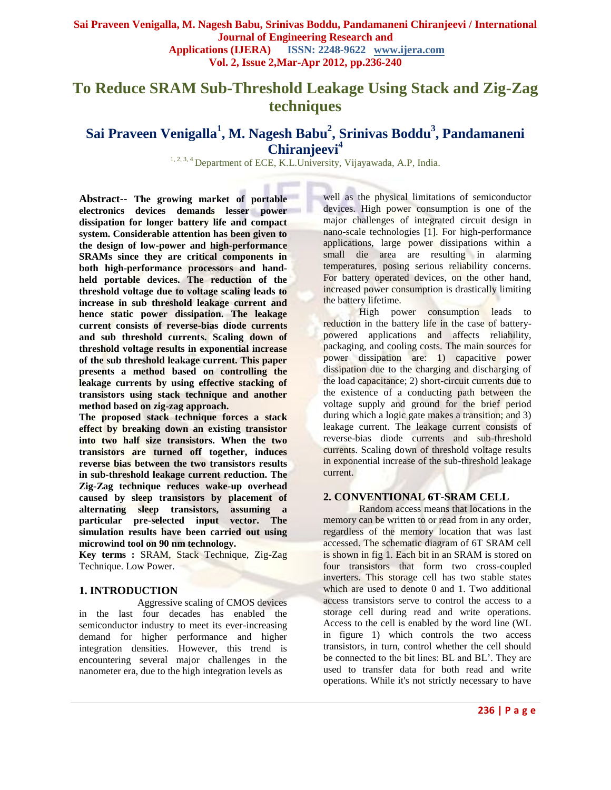# **To Reduce SRAM Sub-Threshold Leakage Using Stack and Zig-Zag techniques**

## **Sai Praveen Venigalla<sup>1</sup> , M. Nagesh Babu<sup>2</sup> , Srinivas Boddu<sup>3</sup> , Pandamaneni Chiranjeevi<sup>4</sup>**

<sup>1, 2, 3, 4</sup> Department of ECE, K.L.University, Vijayawada, A.P, India.

**Abstract-- The growing market of portable electronics devices demands lesser power dissipation for longer battery life and compact system. Considerable attention has been given to the design of low-power and high-performance SRAMs since they are critical components in both high-performance processors and handheld portable devices. The reduction of the threshold voltage due to voltage scaling leads to increase in sub threshold leakage current and hence static power dissipation. The leakage current consists of reverse-bias diode currents and sub threshold currents. Scaling down of threshold voltage results in exponential increase of the sub threshold leakage current. This paper presents a method based on controlling the leakage currents by using effective stacking of transistors using stack technique and another method based on zig-zag approach.**

**The proposed stack technique forces a stack effect by breaking down an existing transistor into two half size transistors. When the two transistors are turned off together, induces reverse bias between the two transistors results in sub-threshold leakage current reduction. The Zig-Zag technique reduces wake-up overhead caused by sleep transistors by placement of alternating sleep transistors, assuming a particular pre-selected input vector. The simulation results have been carried out using microwind tool on 90 nm technology.**

**Key terms :** SRAM, Stack Technique, Zig-Zag Technique. Low Power.

### **1. INTRODUCTION**

 Aggressive scaling of CMOS devices in the last four decades has enabled the semiconductor industry to meet its ever-increasing demand for higher performance and higher integration densities. However, this trend is encountering several major challenges in the nanometer era, due to the high integration levels as

well as the physical limitations of semiconductor devices. High power consumption is one of the major challenges of integrated circuit design in nano-scale technologies [1]. For high-performance applications, large power dissipations within a small die area are resulting in alarming temperatures, posing serious reliability concerns. For battery operated devices, on the other hand, increased power consumption is drastically limiting the battery lifetime.

High power consumption leads to reduction in the battery life in the case of batterypowered applications and affects reliability, packaging, and cooling costs. The main sources for power dissipation are: 1) capacitive power dissipation due to the charging and discharging of the load capacitance; 2) short-circuit currents due to the existence of a conducting path between the voltage supply and ground for the brief period during which a logic gate makes a transition; and 3) leakage current. The leakage current consists of reverse-bias diode currents and sub-threshold currents. Scaling down of threshold voltage results in exponential increase of the sub-threshold leakage current.

#### **2. CONVENTIONAL 6T-SRAM CELL**

Random access means that locations in the memory can be written to or read from in any order, regardless of the memory location that was last accessed. The schematic diagram of 6T SRAM cell is shown in fig 1. Each bit in an SRAM is stored on four transistors that form two cross-coupled inverters. This storage cell has two stable states which are used to denote 0 and 1. Two additional access transistors serve to control the access to a storage cell during read and write operations. Access to the cell is enabled by the word line (WL in figure 1) which controls the two access transistors, in turn, control whether the cell should be connected to the bit lines: BL and BL'. They are used to transfer data for both read and write operations. While it's not strictly necessary to have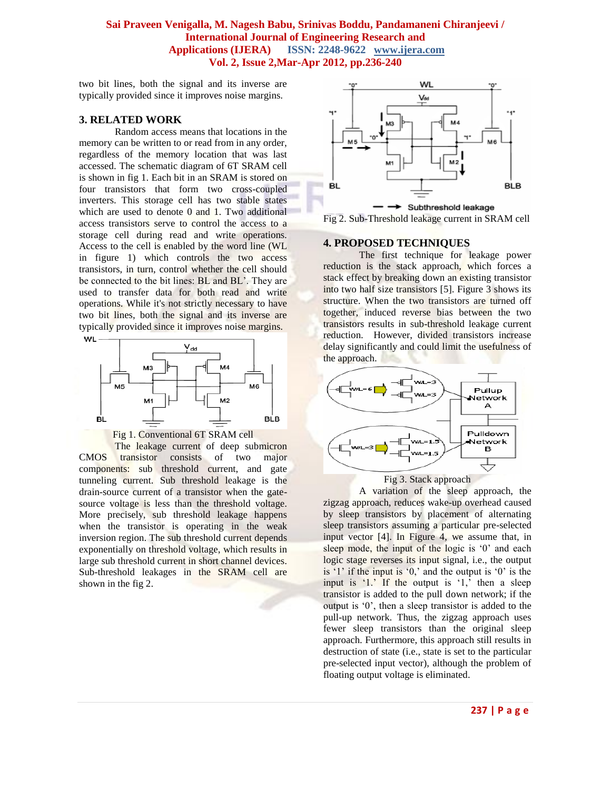two bit lines, both the signal and its inverse are typically provided since it improves noise margins.

#### **3. RELATED WORK**

Random access means that locations in the memory can be written to or read from in any order, regardless of the memory location that was last accessed. The schematic diagram of 6T SRAM cell is shown in fig 1. Each bit in an SRAM is stored on four transistors that form two cross-coupled inverters. This storage cell has two stable states which are used to denote  $0$  and  $1$ . Two additional access transistors serve to control the access to a storage cell during read and write operations. Access to the cell is enabled by the word line (WL in figure 1) which controls the two access transistors, in turn, control whether the cell should be connected to the bit lines: BL and BL'. They are used to transfer data for both read and write operations. While it's not strictly necessary to have two bit lines, both the signal and its inverse are typically provided since it improves noise margins.





The leakage current of deep submicron CMOS transistor consists of two major components: sub threshold current, and gate tunneling current. Sub threshold leakage is the drain-source current of a transistor when the gatesource voltage is less than the threshold voltage. More precisely, sub threshold leakage happens when the transistor is operating in the weak inversion region. The sub threshold current depends exponentially on threshold voltage, which results in large sub threshold current in short channel devices. Sub-threshold leakages in the SRAM cell are shown in the fig 2.



Fig 2. Sub-Threshold leakage current in SRAM cell

#### **4. PROPOSED TECHNIQUES**

The first technique for leakage power reduction is the stack approach, which forces a stack effect by breaking down an existing transistor into two half size transistors [5]. Figure 3 shows its structure. When the two transistors are turned off together, induced reverse bias between the two transistors results in sub-threshold leakage current reduction. However, divided transistors increase delay significantly and could limit the usefulness of the approach.



Fig 3. Stack approach

A variation of the sleep approach, the zigzag approach, reduces wake-up overhead caused by sleep transistors by placement of alternating sleep transistors assuming a particular pre-selected input vector [4]. In Figure 4, we assume that, in sleep mode, the input of the logic is '0' and each logic stage reverses its input signal, i.e., the output is  $'1'$  if the input is  $'0$ , and the output is  $'0'$  is the input is  $\langle 1 \rangle$ . If the output is  $\langle 1 \rangle$  then a sleep transistor is added to the pull down network; if the output is "0", then a sleep transistor is added to the pull-up network. Thus, the zigzag approach uses fewer sleep transistors than the original sleep approach. Furthermore, this approach still results in destruction of state (i.e., state is set to the particular pre-selected input vector), although the problem of floating output voltage is eliminated.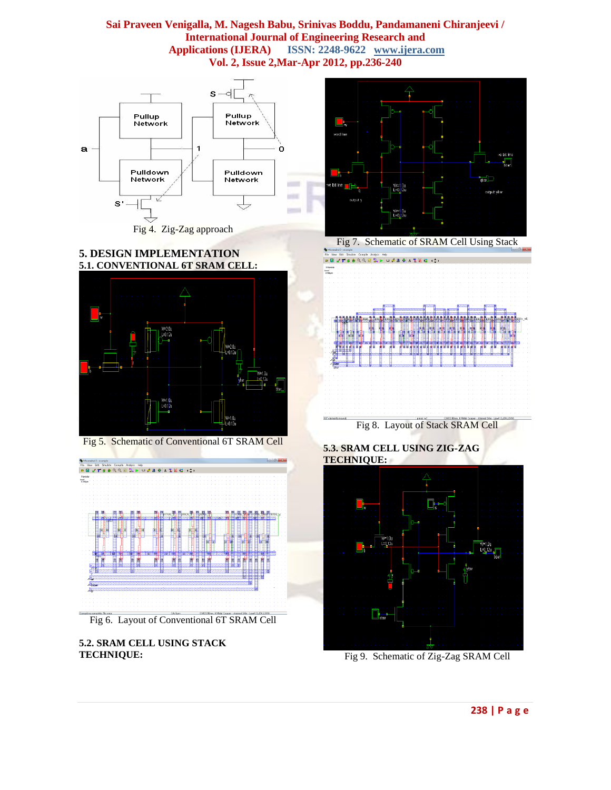

Fig 4. Zig-Zag approach







Fig 5. Schematic of Conventional 6T SRAM Cell



Fig 6. Layout of Conventional 6T SRAM Cell

**5.2. SRAM CELL USING STACK TECHNIQUE:**



Fig 8. Layout of Stack SRAM Cell

**5.3. SRAM CELL USING ZIG-ZAG TECHNIQUE:**



Fig 9. Schematic of Zig-Zag SRAM Cell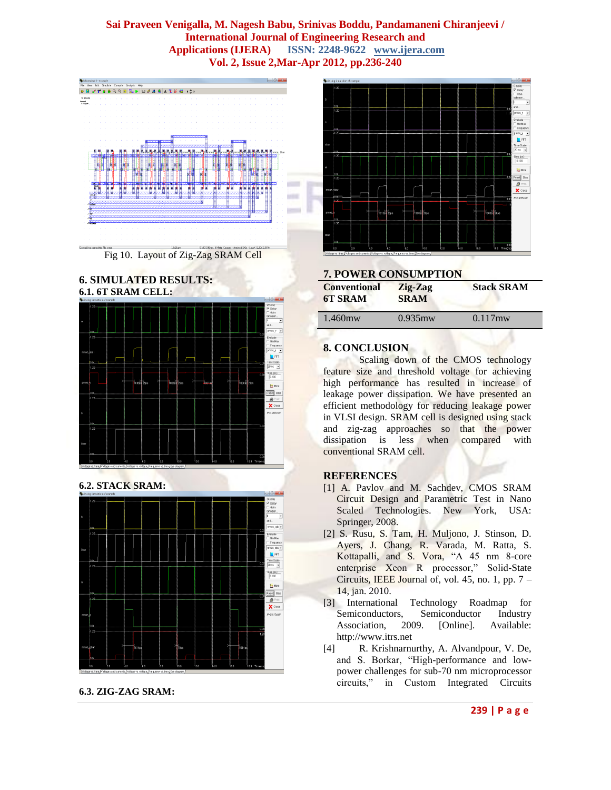

Fig 10. Layout of Zig-Zag SRAM Cell

#### **6. SIMULATED RESULTS: 6.1. 6T SRAM CELL:**



**6.2. STACK SRAM:**



**6.3. ZIG-ZAG SRAM:**



| <b>7. POWER CONSUMPTION</b>           |                        |                   |
|---------------------------------------|------------------------|-------------------|
| <b>Conventional</b><br><b>6T SRAM</b> | Zig-Zag<br><b>SRAM</b> | <b>Stack SRAM</b> |
| $1.460$ mw                            | $0.935$ mw             | $0.117$ mw        |

#### **8. CONCLUSION**

Scaling down of the CMOS technology feature size and threshold voltage for achieving high performance has resulted in increase of leakage power dissipation. We have presented an efficient methodology for reducing leakage power in VLSI design. SRAM cell is designed using stack and zig-zag approaches so that the power dissipation is less when compared with conventional SRAM cell.

#### **REFERENCES**

- [1] A. Pavlov and M. Sachdev, CMOS SRAM Circuit Design and Parametric Test in Nano Scaled Technologies. New York, USA: Springer, 2008.
- [2] S. Rusu, S. Tam, H. Muljono, J. Stinson, D. Ayers, J. Chang, R. Varada, M. Ratta, S. Kottapalli, and S. Vora, "A 45 nm 8-core enterprise Xeon R processor," Solid-State Circuits, IEEE Journal of, vol. 45, no. 1, pp. 7 – 14, jan. 2010.
- [3] International Technology Roadmap for Semiconductors, Semiconductor Industry Association, 2009. [Online]. Available: http://www.itrs.net
- [4] R. Krishnarnurthy, A. Alvandpour, V. De, and S. Borkar, "High-performance and lowpower challenges for sub-70 nm microprocessor circuits," in Custom Integrated Circuits